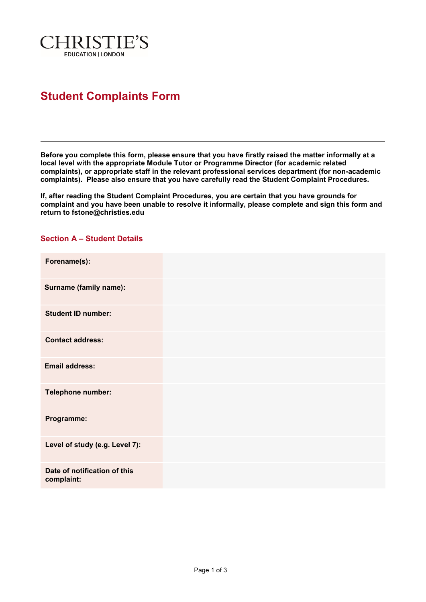

## **Student Complaints Form**

**Before you complete this form, please ensure that you have firstly raised the matter informally at a local level with the appropriate Module Tutor or Programme Director (for academic related complaints), or appropriate staff in the relevant professional services department (for non-academic complaints). Please also ensure that you have carefully read the Student Complaint Procedures.** 

**If, after reading the Student Complaint Procedures, you are certain that you have grounds for complaint and you have been unable to resolve it informally, please complete and sign this form and return to fstone@christies.edu**

## **Section A – Student Details**

| Forename(s):                               |  |
|--------------------------------------------|--|
| <b>Surname (family name):</b>              |  |
| <b>Student ID number:</b>                  |  |
| <b>Contact address:</b>                    |  |
| <b>Email address:</b>                      |  |
| Telephone number:                          |  |
| Programme:                                 |  |
| Level of study (e.g. Level 7):             |  |
| Date of notification of this<br>complaint: |  |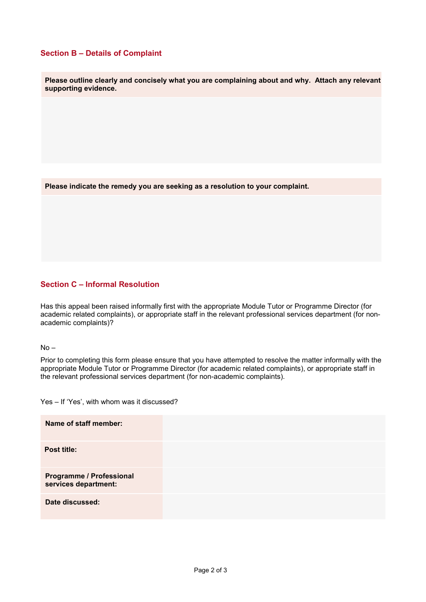## **Section B – Details of Complaint**

**Please outline clearly and concisely what you are complaining about and why. Attach any relevant supporting evidence.**

**Please indicate the remedy you are seeking as a resolution to your complaint.**

## **Section C – Informal Resolution**

Has this appeal been raised informally first with the appropriate Module Tutor or Programme Director (for academic related complaints), or appropriate staff in the relevant professional services department (for nonacademic complaints)?

 $No -$ 

Prior to completing this form please ensure that you have attempted to resolve the matter informally with the appropriate Module Tutor or Programme Director (for academic related complaints), or appropriate staff in the relevant professional services department (for non-academic complaints).

Yes – If 'Yes', with whom was it discussed?

| Name of staff member:                                   |  |
|---------------------------------------------------------|--|
| Post title:                                             |  |
| <b>Programme / Professional</b><br>services department: |  |
| Date discussed:                                         |  |